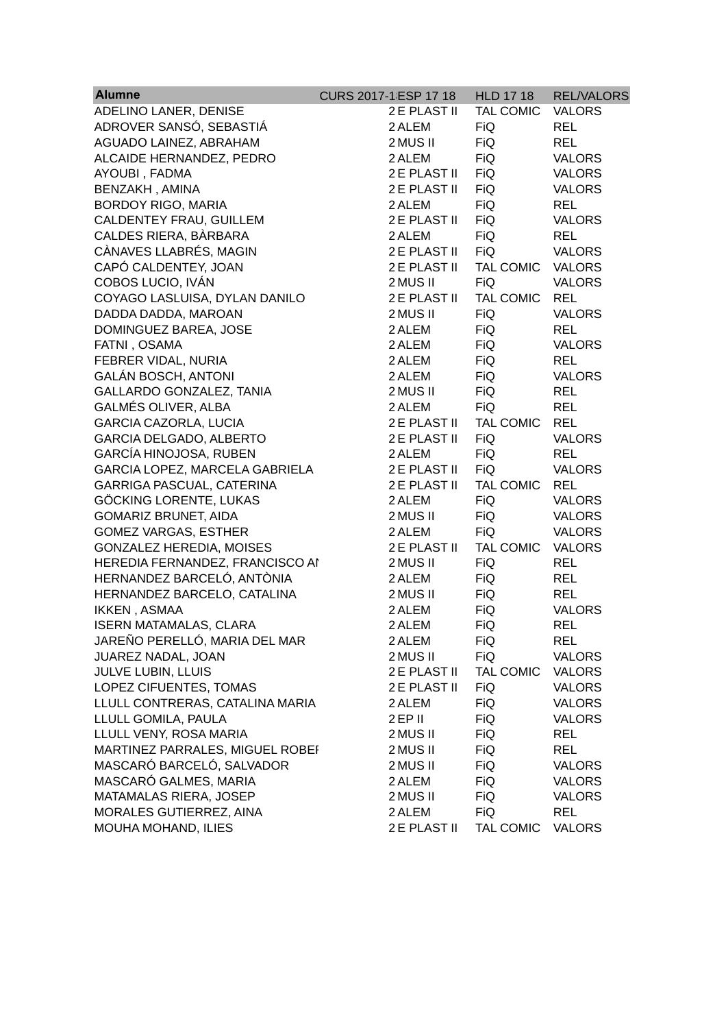| <b>Alumne</b>                    | CURS 2017-1 ESP 17 18 | <b>HLD 17 18</b> | <b>REL/VALORS</b> |
|----------------------------------|-----------------------|------------------|-------------------|
| ADELINO LANER, DENISE            | 2E PLAST II           | <b>TAL COMIC</b> | <b>VALORS</b>     |
| ADROVER SANSÓ, SEBASTIÁ          | 2 ALEM                | <b>FiQ</b>       | <b>REL</b>        |
| AGUADO LAINEZ, ABRAHAM           | 2 MUS II              | <b>FiQ</b>       | <b>REL</b>        |
| ALCAIDE HERNANDEZ, PEDRO         | 2 ALEM                | <b>FiQ</b>       | <b>VALORS</b>     |
| AYOUBI, FADMA                    | 2E PLAST II           | <b>FiQ</b>       | <b>VALORS</b>     |
| BENZAKH, AMINA                   | 2E PLAST II           | <b>FiQ</b>       | <b>VALORS</b>     |
| <b>BORDOY RIGO, MARIA</b>        | 2 ALEM                | <b>FiQ</b>       | <b>REL</b>        |
| CALDENTEY FRAU, GUILLEM          | 2E PLAST II           | <b>FiQ</b>       | <b>VALORS</b>     |
| CALDES RIERA, BÀRBARA            | 2 ALEM                | <b>FiQ</b>       | <b>REL</b>        |
| CÀNAVES LLABRÉS, MAGIN           | 2E PLAST II           | <b>FiQ</b>       | <b>VALORS</b>     |
| CAPÓ CALDENTEY, JOAN             | 2E PLAST II           | <b>TAL COMIC</b> | <b>VALORS</b>     |
| COBOS LUCIO, IVÁN                | 2 MUS II              | FiQ              | <b>VALORS</b>     |
| COYAGO LASLUISA, DYLAN DANILO    | 2E PLAST II           | <b>TAL COMIC</b> | <b>REL</b>        |
| DADDA DADDA, MAROAN              | 2 MUS II              | <b>FiQ</b>       | <b>VALORS</b>     |
| DOMINGUEZ BAREA, JOSE            | 2 ALEM                | <b>FiQ</b>       | <b>REL</b>        |
| FATNI, OSAMA                     | 2 ALEM                | <b>FiQ</b>       | <b>VALORS</b>     |
| FEBRER VIDAL, NURIA              | 2 ALEM                | <b>FiQ</b>       | <b>REL</b>        |
| <b>GALÁN BOSCH, ANTONI</b>       | 2 ALEM                | <b>FiQ</b>       | <b>VALORS</b>     |
| GALLARDO GONZALEZ, TANIA         | 2 MUS II              | <b>FiQ</b>       | <b>REL</b>        |
| <b>GALMÉS OLIVER, ALBA</b>       | 2 ALEM                | <b>FiQ</b>       | <b>REL</b>        |
| <b>GARCIA CAZORLA, LUCIA</b>     | 2E PLAST II           | <b>TAL COMIC</b> | <b>REL</b>        |
| GARCIA DELGADO, ALBERTO          | 2E PLAST II           | <b>FiQ</b>       | <b>VALORS</b>     |
| GARCÍA HINOJOSA, RUBEN           | 2 ALEM                | <b>FiQ</b>       | <b>REL</b>        |
| GARCIA LOPEZ, MARCELA GABRIELA   | 2E PLAST II           | <b>FiQ</b>       | <b>VALORS</b>     |
| <b>GARRIGA PASCUAL, CATERINA</b> | 2E PLAST II           | <b>TAL COMIC</b> | <b>REL</b>        |
| GÖCKING LORENTE, LUKAS           | 2 ALEM                | <b>FiQ</b>       | <b>VALORS</b>     |
| <b>GOMARIZ BRUNET, AIDA</b>      | 2 MUS II              | <b>FiQ</b>       | <b>VALORS</b>     |
| <b>GOMEZ VARGAS, ESTHER</b>      | 2 ALEM                | <b>FiQ</b>       | <b>VALORS</b>     |
| <b>GONZALEZ HEREDIA, MOISES</b>  | 2E PLAST II           | <b>TAL COMIC</b> | <b>VALORS</b>     |
| HEREDIA FERNANDEZ, FRANCISCO AI  | 2 MUS II              | <b>FiQ</b>       | <b>REL</b>        |
| HERNANDEZ BARCELÓ, ANTÒNIA       | 2 ALEM                | <b>FiQ</b>       | REL               |
| HERNANDEZ BARCELO, CATALINA      | 2 MUS II              | <b>FiQ</b>       | <b>REL</b>        |
| <b>IKKEN, ASMAA</b>              | 2 ALEM                | <b>FiQ</b>       | <b>VALORS</b>     |
| <b>ISERN MATAMALAS, CLARA</b>    | 2 ALEM                | <b>FiQ</b>       | <b>REL</b>        |
| JAREÑO PERELLÓ, MARIA DEL MAR    | 2 ALEM                | <b>FiQ</b>       | <b>REL</b>        |
| JUAREZ NADAL, JOAN               | 2 MUS II              | <b>FiQ</b>       | <b>VALORS</b>     |
| JULVE LUBIN, LLUIS               | 2E PLAST II           | <b>TAL COMIC</b> | <b>VALORS</b>     |
| LOPEZ CIFUENTES, TOMAS           | 2E PLAST II           | <b>FiQ</b>       | <b>VALORS</b>     |
| LLULL CONTRERAS, CATALINA MARIA  | 2 ALEM                | <b>FiQ</b>       | <b>VALORS</b>     |
| LLULL GOMILA, PAULA              | 2EP II                | <b>FiQ</b>       | <b>VALORS</b>     |
| LLULL VENY, ROSA MARIA           | 2 MUS II              | <b>FiQ</b>       | <b>REL</b>        |
| MARTINEZ PARRALES, MIGUEL ROBEI  | 2 MUS II              | <b>FiQ</b>       | <b>REL</b>        |
| MASCARÓ BARCELÓ, SALVADOR        | 2 MUS II              | <b>FiQ</b>       | <b>VALORS</b>     |
| MASCARÓ GALMES, MARIA            | 2 ALEM                | <b>FiQ</b>       | <b>VALORS</b>     |
| MATAMALAS RIERA, JOSEP           | 2 MUS II              | <b>FiQ</b>       | <b>VALORS</b>     |
| MORALES GUTIERREZ, AINA          | 2 ALEM                | <b>FiQ</b>       | <b>REL</b>        |
| MOUHA MOHAND, ILIES              | 2E PLAST II           | TAL COMIC        | <b>VALORS</b>     |